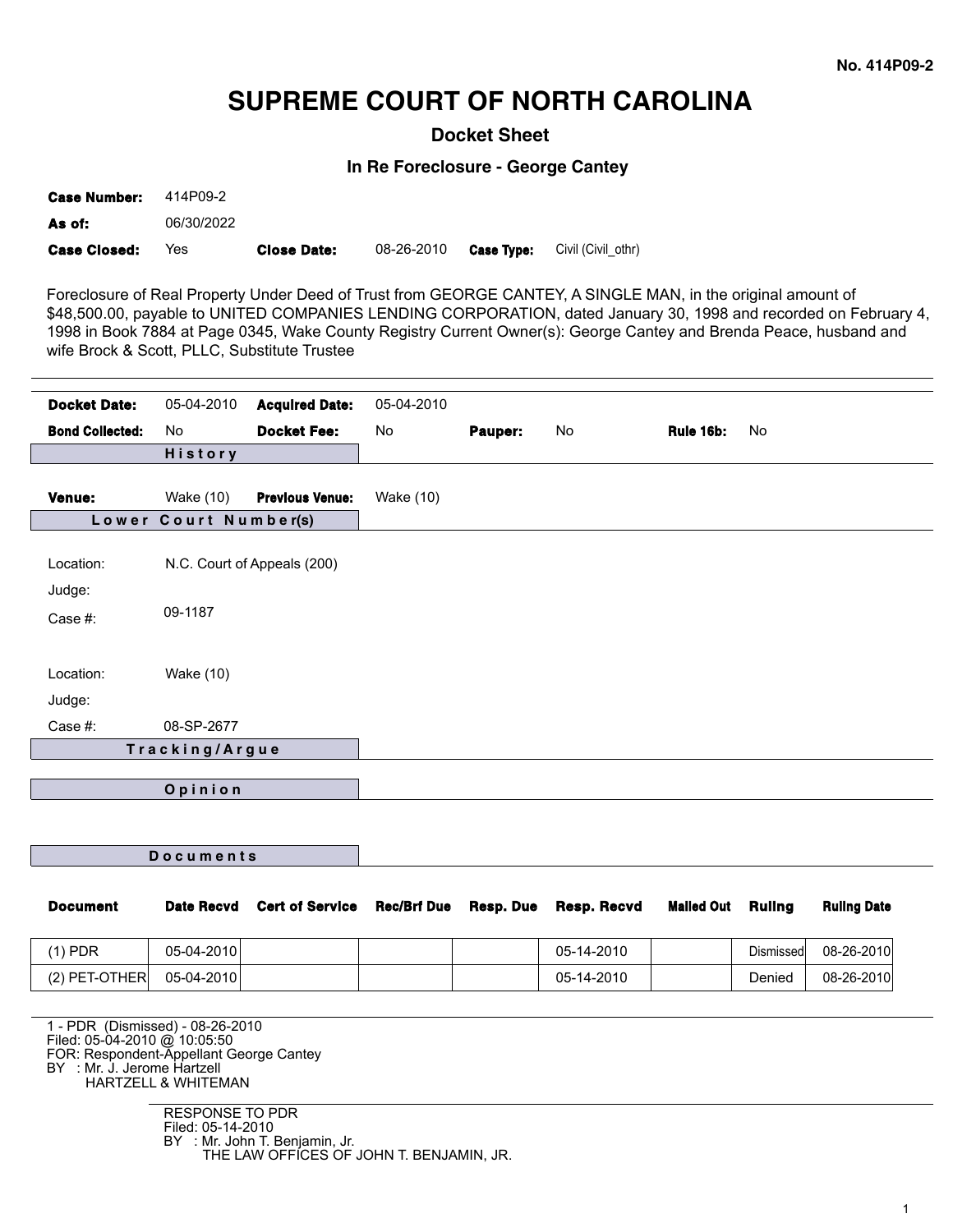## **SUPREME COURT OF NORTH CAROLINA**

**Docket Sheet**

**In Re Foreclosure - George Cantey**

| <b>Case Closed:</b> | Yes        | <b>Close Date:</b> | 08-26-2010 | <b>Case Tvpe:</b> | Civil (Civil othr) |
|---------------------|------------|--------------------|------------|-------------------|--------------------|
| As of:              | 06/30/2022 |                    |            |                   |                    |
| <b>Case Number:</b> | 414P09-2   |                    |            |                   |                    |

Foreclosure of Real Property Under Deed of Trust from GEORGE CANTEY, A SINGLE MAN, in the original amount of \$48,500.00, payable to UNITED COMPANIES LENDING CORPORATION, dated January 30, 1998 and recorded on February 4, 1998 in Book 7884 at Page 0345, Wake County Registry Current Owner(s): George Cantey and Brenda Peace, husband and wife Brock & Scott, PLLC, Substitute Trustee

| <b>Docket Date:</b>            | 05-04-2010            | <b>Acquired Date:</b>       | 05-04-2010       |         |    |           |    |
|--------------------------------|-----------------------|-----------------------------|------------------|---------|----|-----------|----|
| <b>Bond Collected:</b>         | No                    | <b>Docket Fee:</b>          | No               | Pauper: | No | Rule 16b: | No |
|                                | <b>History</b>        |                             |                  |         |    |           |    |
| Venue:                         | Wake (10)             | <b>Previous Venue:</b>      | <b>Wake (10)</b> |         |    |           |    |
|                                | Lower Court Number(s) |                             |                  |         |    |           |    |
| Location:<br>Judge:<br>Case #: | 09-1187               | N.C. Court of Appeals (200) |                  |         |    |           |    |
| Location:<br>Judge:            | <b>Wake (10)</b>      |                             |                  |         |    |           |    |
| Case #:                        | 08-SP-2677            |                             |                  |         |    |           |    |
|                                | Tracking/Argue        |                             |                  |         |    |           |    |
|                                | Opinion               |                             |                  |         |    |           |    |

| <b>Document</b>                                                        | <b>Date Recvd</b> | <b>Cert of Service</b> | <b>Rec/Brf Due</b> | Resp. Due | Resp. Recvd | <b>Mailed Out</b> | <b>Ruling</b> | <b>Ruling Date</b> |
|------------------------------------------------------------------------|-------------------|------------------------|--------------------|-----------|-------------|-------------------|---------------|--------------------|
| $(1)$ PDR                                                              | 05-04-2010        |                        |                    |           | 05-14-2010  |                   | Dismissed     | 08-26-2010         |
| $(2)$ PET-OTHER                                                        | 05-04-2010        |                        |                    |           | 05-14-2010  |                   | Denied        | 08-26-2010         |
| 1 - PDR (Dismissed) - 08-26-2010<br>Filed: 05-04-2010 @ 10:05:50       |                   |                        |                    |           |             |                   |               |                    |
| FOR: Respondent-Appellant George Cantey<br>BY : Mr. J. Jerome Hartzell |                   |                        |                    |           |             |                   |               |                    |

HARTZELL & WHITEMAN

**D o c u m e n t s**

RESPONSE TO PDR Filed: 05-14-2010 BY : Mr. John T. Benjamin, Jr. THE LAW OFFICES OF JOHN T. BENJAMIN, JR.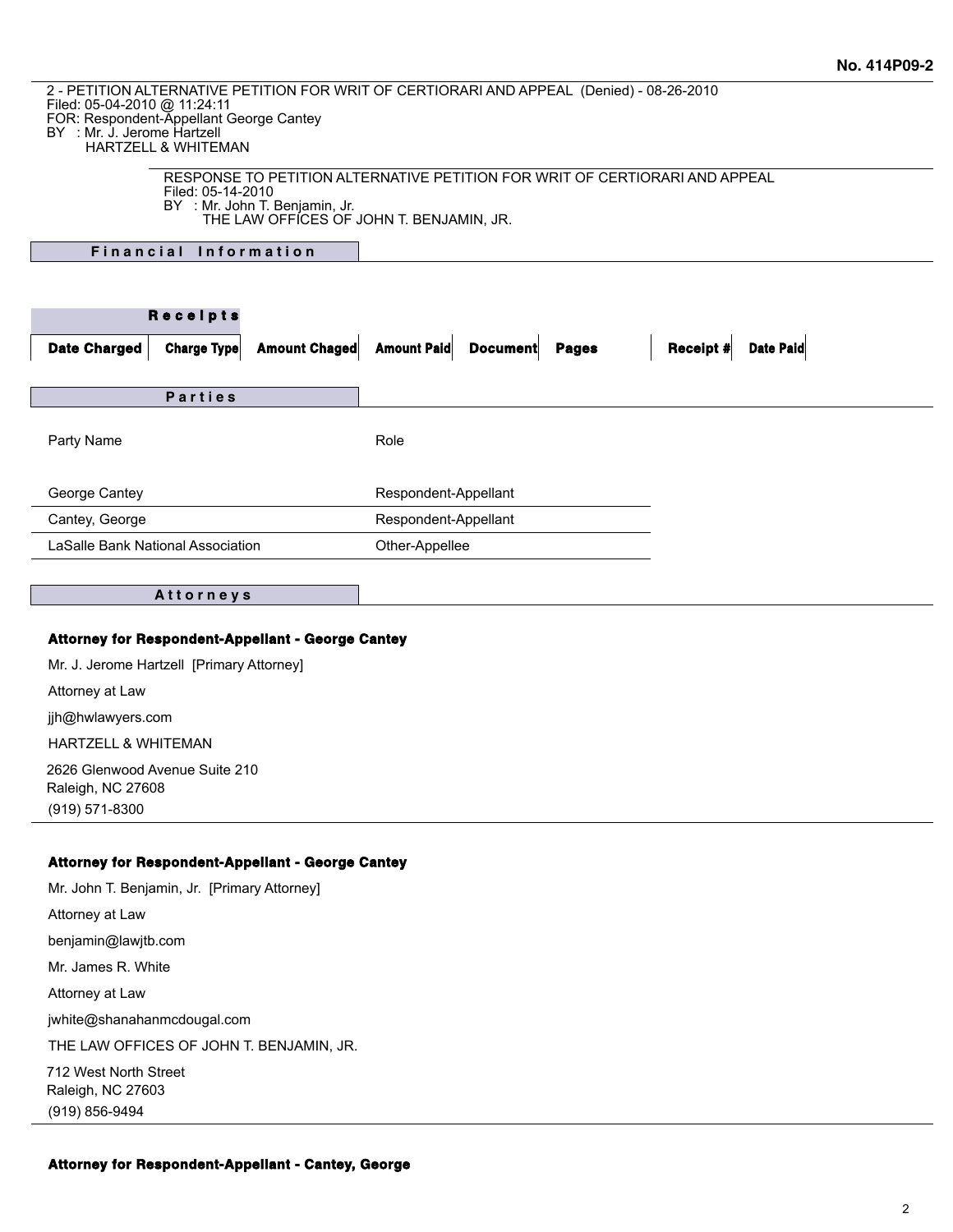2 - PETITION ALTERNATIVE PETITION FOR WRIT OF CERTIORARI AND APPEAL (Denied) - 08-26-2010

Filed: 05-04-2010 @ 11:24:11

FOR: Respondent-Appellant George Cantey

BY : Mr. J. Jerome Hartzell

HARTZELL & WHITEMAN

| RESPONSE TO PETITION ALTERNATIVE PETITION FOR WRIT OF CERTIORARI AND APPEAL |
|-----------------------------------------------------------------------------|
| Filed: 05-14-2010                                                           |
| BY : Mr. John T. Benjamin, Jr.                                              |
| THE LAW OFFICES OF JOHN T. BENJAMIN, JR.                                    |

**Financial Information** 

|                                   | Receipts           |               |                      |                 |              |           |                  |
|-----------------------------------|--------------------|---------------|----------------------|-----------------|--------------|-----------|------------------|
| <b>Date Charged</b>               | <b>Charge Type</b> | Amount Chaged | <b>Amount Paid</b>   | <b>Document</b> | <b>Pages</b> | Receipt # | <b>Date Paid</b> |
|                                   | <b>Parties</b>     |               |                      |                 |              |           |                  |
| Party Name                        |                    |               | Role                 |                 |              |           |                  |
| George Cantey                     |                    |               | Respondent-Appellant |                 |              |           |                  |
| Cantey, George                    |                    |               | Respondent-Appellant |                 |              |           |                  |
| LaSalle Bank National Association |                    |               | Other-Appellee       |                 |              |           |                  |

**A t t o r n e y s**

## **Attorney for Respondent-Appellant - George Cantey**

Mr. J. Jerome Hartzell [Primary Attorney] Attorney at Law jjh@hwlawyers.com

HARTZELL & WHITEMAN

2626 Glenwood Avenue Suite 210 Raleigh, NC 27608 (919) 571-8300

## **Attorney for Respondent-Appellant - George Cantey**

Mr. John T. Benjamin, Jr. [Primary Attorney] Attorney at Law benjamin@lawjtb.com Mr. James R. White Attorney at Law jwhite@shanahanmcdougal.com THE LAW OFFICES OF JOHN T. BENJAMIN, JR. 712 West North Street Raleigh, NC 27603 (919) 856-9494